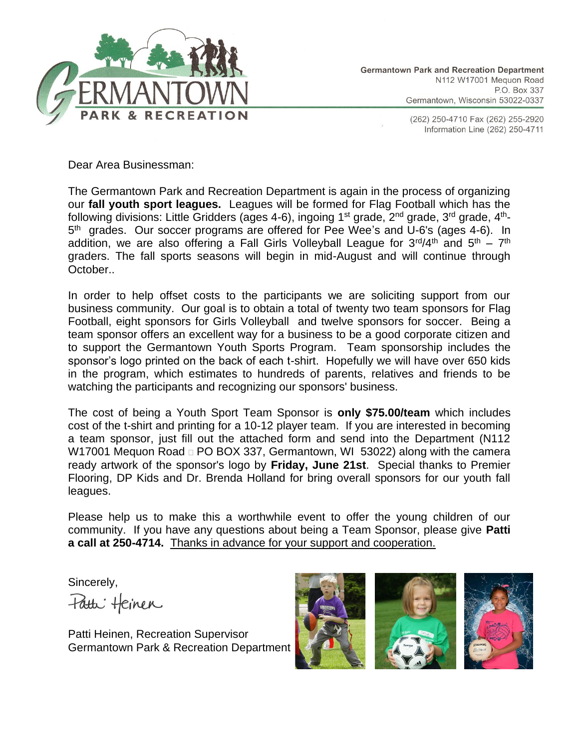

(262) 250-4710 Fax (262) 255-2920 Information Line (262) 250-4711

Dear Area Businessman:

The Germantown Park and Recreation Department is again in the process of organizing our **fall youth sport leagues.** Leagues will be formed for Flag Football which has the following divisions: Little Gridders (ages 4-6), ingoing 1st grade, 2<sup>nd</sup> grade, 3<sup>rd</sup> grade, 4<sup>th</sup>-5<sup>th</sup> grades. Our soccer programs are offered for Pee Wee's and U-6's (ages 4-6). In addition, we are also offering a Fall Girls Volleyball League for 3<sup>rd</sup>/4<sup>th</sup> and 5<sup>th</sup> – 7<sup>th</sup> graders. The fall sports seasons will begin in mid-August and will continue through October..

In order to help offset costs to the participants we are soliciting support from our business community. Our goal is to obtain a total of twenty two team sponsors for Flag Football, eight sponsors for Girls Volleyball and twelve sponsors for soccer. Being a team sponsor offers an excellent way for a business to be a good corporate citizen and to support the Germantown Youth Sports Program. Team sponsorship includes the sponsor's logo printed on the back of each t-shirt. Hopefully we will have over 650 kids in the program, which estimates to hundreds of parents, relatives and friends to be watching the participants and recognizing our sponsors' business.

The cost of being a Youth Sport Team Sponsor is **only \$75.00/team** which includes cost of the t-shirt and printing for a 10-12 player team. If you are interested in becoming a team sponsor, just fill out the attached form and send into the Department (N112 W17001 Mequon Road  $\Box$  PO BOX 337, Germantown, WI 53022) along with the camera ready artwork of the sponsor's logo by **Friday, June 21st**. Special thanks to Premier Flooring, DP Kids and Dr. Brenda Holland for bring overall sponsors for our youth fall leagues.

Please help us to make this a worthwhile event to offer the young children of our community. If you have any questions about being a Team Sponsor, please give **Patti a call at 250-4714.** Thanks in advance for your support and cooperation.

Sincerely, Fatti Heinen

Patti Heinen, Recreation Supervisor Germantown Park & Recreation Department